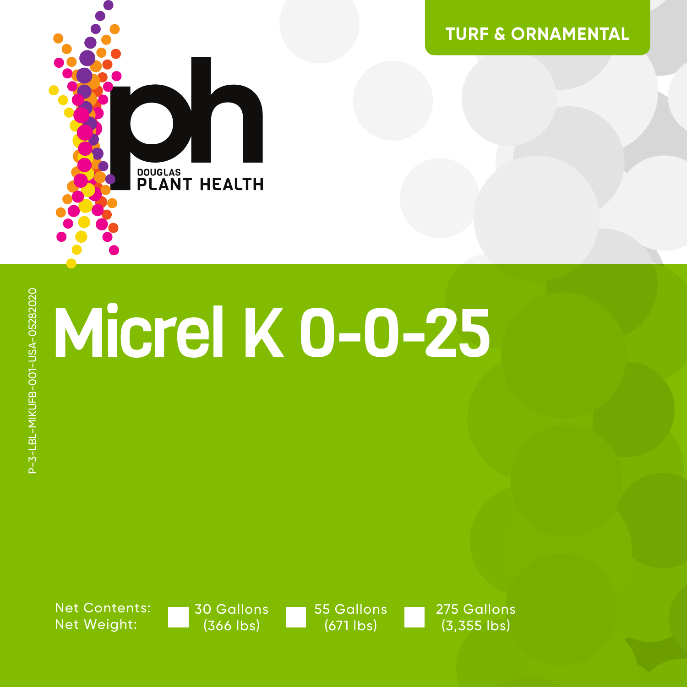

**TURF & ORNAMENTAL**

# Micrel K 0-0-25

Net Contents: Net Weight:

P-3-LBL-MIKUFB-001-USA-05282020

P-3-LBL-MIKUFB-001-USA-05282020

30 Gallons (366 lbs)

55 Gallons (671 lbs)

275 Gallons (3,355 lbs)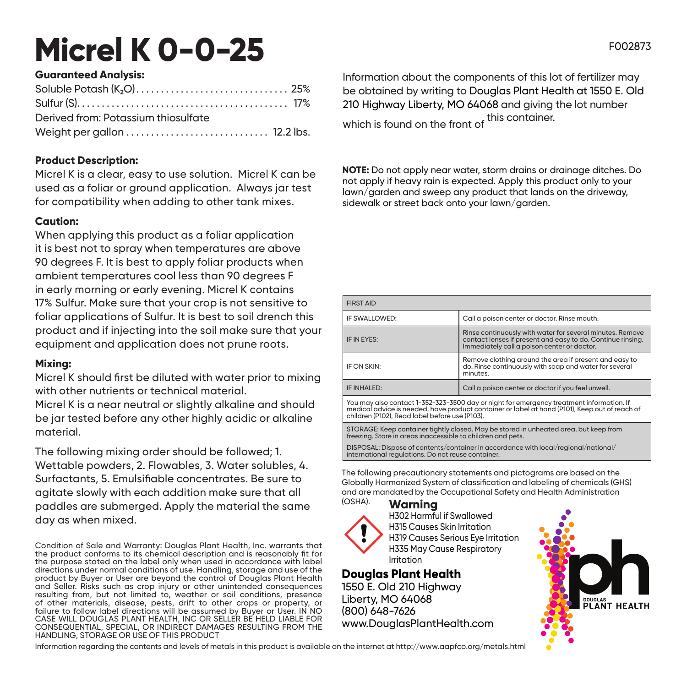## **Micrel K 0-0-25**

### **Guaranteed Analysis:**

| Derived from: Potassium thiosulfate |  |
|-------------------------------------|--|
|                                     |  |

### **Product Description:**

Micrel K is a clear, easy to use solution. Micrel K can be used as a foliar or ground application. Always jar test for compatibility when adding to other tank mixes.

#### **Caution:**

When applying this product as a foliar application it is best not to spray when temperatures are above 90 degrees F. It is best to apply foliar products when ambient temperatures cool less than 90 degrees F in early morning or early evening. Micrel K contains 17% Sulfur. Make sure that your crop is not sensitive to foliar applications of Sulfur. It is best to soil drench this product and if injecting into the soil make sure that your equipment and application does not prune roots.

#### **Mixing:**

Micrel K should first be diluted with water prior to mixing with other nutrients or technical material.

Micrel K is a near neutral or slightly alkaline and should be jar tested before any other highly acidic or alkaline material.

The following mixing order should be followed; 1. Wettable powders, 2. Flowables, 3. Water solubles, 4. Surfactants, 5. Emulsifiable concentrates. Be sure to agitate slowly with each addition make sure that all paddles are submerged. Apply the material the same day as when mixed.

Condition of Sale and Warranty: Douglas Plant Health, Inc. warrants that the product conforms to its chemical description and is reasonably fit for the purpose stated on the label only when used in accordance with label directions under normal conditions of use. Handling, storage and use of the product by Buyer or User are beyond the control of Douglas Plant Health and Seller. Risks such as crop injury or other unintended consequences resulting from, but not limited to, weather or soil conditions, presence of other materials, disease, pests, drift to other crops or property, or failure to follow label directions will be assumed by Buyer or User. IN NO failure to follow label directions will be assumed by Buyer or User. IN NO CASE WILL DOUGLAS PLANT HEALTH, INC OR SELLER BE HELD LIABLE FOR CONSEQUENTIAL, SPECIAL, OR INDIRECT DAMAGES RESULTING FROM THE HANDLING, STORAGE OR USE OF THIS PRODUCT

Information about the components of this lot of fertilizer may be obtained by writing to Douglas Plant Health at 1550 E. Old 210 Highway Liberty, MO 64068 and giving the lot number which is found on the front of this container.

**NOTE:** Do not apply near water, storm drains or drainage ditches. Do not apply if heavy rain is expected. Apply this product only to your lawn/garden and sweep any product that lands on the driveway, sidewalk or street back onto your lawn/garden.

| <b>FIRST AID</b>                                                                                                                                                                                                                             |                                                                                                                                                                         |  |
|----------------------------------------------------------------------------------------------------------------------------------------------------------------------------------------------------------------------------------------------|-------------------------------------------------------------------------------------------------------------------------------------------------------------------------|--|
| IF SWALLOWED:                                                                                                                                                                                                                                | Call a poison center or doctor. Rinse mouth.                                                                                                                            |  |
| IF IN EYES:                                                                                                                                                                                                                                  | Rinse continuously with water for several minutes, Remove<br>contact lenses if present and easy to do. Continue rinsing.<br>Immediately call a poison center or doctor. |  |
| IF ON SKIN:                                                                                                                                                                                                                                  | Remove clothing around the area if present and easy to<br>do. Rinse continuously with soap and water for several<br>minutes.                                            |  |
| IF INHALED:                                                                                                                                                                                                                                  | Call a poison center or doctor if you feel unwell.                                                                                                                      |  |
| You may also contact 1-352-323-3500 day or night for emergency treatment information. If<br>medical advice is needed, have product container or label at hand (P101), Keep out of reach of<br>children (P102). Read label before use (P103). |                                                                                                                                                                         |  |
| STORACE: Keep container tightly closed May be stered in unbegted great but keep from                                                                                                                                                         |                                                                                                                                                                         |  |

STORAGE: Keep container tightly closed. May be stored in unheated area, but keep from freezing. Store in areas inaccessible to children and pets.

DISPOSAL: Dispose of contents/container in accordance with local/regional/national/ international regulations. Do not reuse container.

The following precautionary statements and pictograms are based on the Globally Harmonized System of classification and labeling of chemicals (GHS) and are mandated by the Occupational Safety and Health Administration (OSHA).

**Warning**



H302 Harmful if Swallowed H315 Causes Skin Irritation H319 Causes Serious Eye Irritation H335 May Cause Respiratory Irritation

**Douglas Plant Health** 1550 E. Old 210 Highway Liberty, MO 64068 (800) 648-7626 www.DouglasPlantHealth.com



F002873

Information regarding the contents and levels of metals in this product is available on the internet at http://www.aapfco.org/metals.html